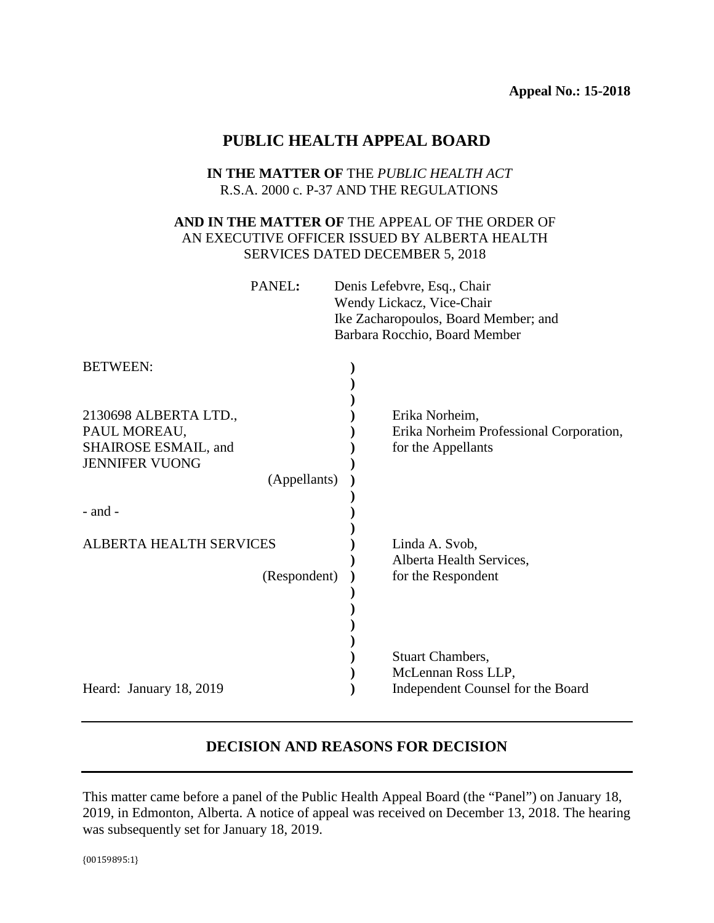# **PUBLIC HEALTH APPEAL BOARD**

### **IN THE MATTER OF** THE *PUBLIC HEALTH ACT* R.S.A. 2000 c. P-37 AND THE REGULATIONS

## **AND IN THE MATTER OF** THE APPEAL OF THE ORDER OF AN EXECUTIVE OFFICER ISSUED BY ALBERTA HEALTH SERVICES DATED DECEMBER 5, 2018

| PANEL: | Denis Lefebvre, Esq., Chair          |
|--------|--------------------------------------|
|        | Wendy Lickacz, Vice-Chair            |
|        | Ike Zacharopoulos, Board Member; and |
|        | Barbara Rocchio, Board Member        |

| <b>BETWEEN:</b>                |                                         |
|--------------------------------|-----------------------------------------|
|                                |                                         |
| 2130698 ALBERTA LTD.,          | Erika Norheim,                          |
| PAUL MOREAU,                   | Erika Norheim Professional Corporation, |
| SHAIROSE ESMAIL, and           | for the Appellants                      |
| <b>JENNIFER VUONG</b>          |                                         |
| (Appellants)                   |                                         |
|                                |                                         |
| $-$ and $-$                    |                                         |
|                                |                                         |
| <b>ALBERTA HEALTH SERVICES</b> | Linda A. Svob,                          |
|                                | Alberta Health Services,                |
| (Respondent)                   | for the Respondent                      |
|                                |                                         |
|                                |                                         |
|                                |                                         |
|                                | <b>Stuart Chambers,</b>                 |
|                                | McLennan Ross LLP,                      |
| Heard: January 18, 2019        | Independent Counsel for the Board       |
|                                |                                         |

## **DECISION AND REASONS FOR DECISION**

This matter came before a panel of the Public Health Appeal Board (the "Panel") on January 18, 2019, in Edmonton, Alberta. A notice of appeal was received on December 13, 2018. The hearing was subsequently set for January 18, 2019.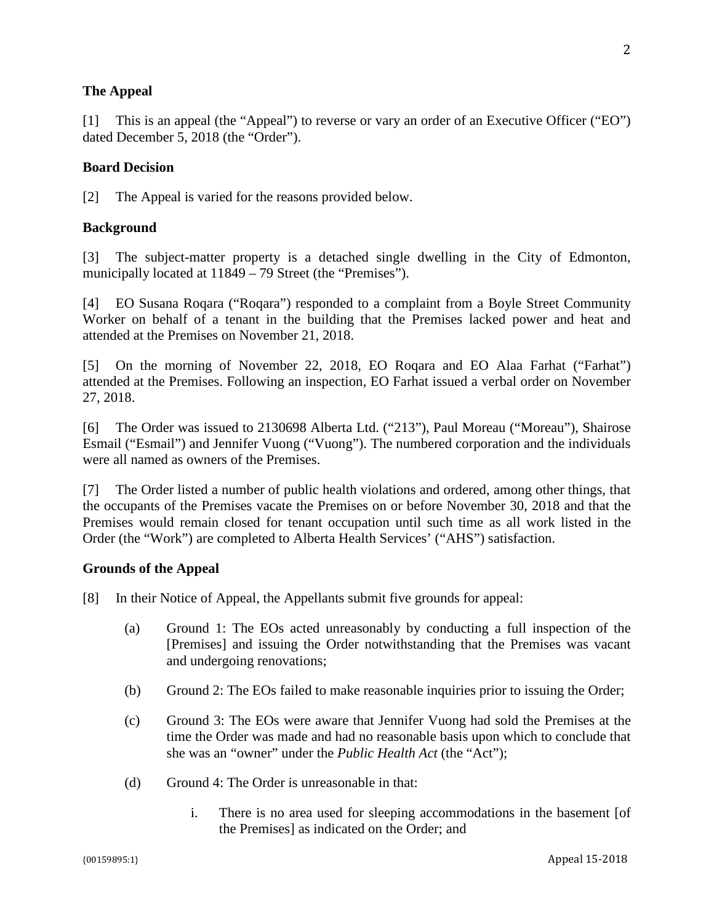### **The Appeal**

[1] This is an appeal (the "Appeal") to reverse or vary an order of an Executive Officer ("EO") dated December 5, 2018 (the "Order").

### **Board Decision**

[2] The Appeal is varied for the reasons provided below.

### **Background**

[3] The subject-matter property is a detached single dwelling in the City of Edmonton, municipally located at  $11849 - 79$  Street (the "Premises").

[4] EO Susana Roqara ("Roqara") responded to a complaint from a Boyle Street Community Worker on behalf of a tenant in the building that the Premises lacked power and heat and attended at the Premises on November 21, 2018.

[5] On the morning of November 22, 2018, EO Roqara and EO Alaa Farhat ("Farhat") attended at the Premises. Following an inspection, EO Farhat issued a verbal order on November 27, 2018.

[6] The Order was issued to 2130698 Alberta Ltd. ("213"), Paul Moreau ("Moreau"), Shairose Esmail ("Esmail") and Jennifer Vuong ("Vuong"). The numbered corporation and the individuals were all named as owners of the Premises.

[7] The Order listed a number of public health violations and ordered, among other things, that the occupants of the Premises vacate the Premises on or before November 30, 2018 and that the Premises would remain closed for tenant occupation until such time as all work listed in the Order (the "Work") are completed to Alberta Health Services' ("AHS") satisfaction.

#### **Grounds of the Appeal**

- [8] In their Notice of Appeal, the Appellants submit five grounds for appeal:
	- (a) Ground 1: The EOs acted unreasonably by conducting a full inspection of the [Premises] and issuing the Order notwithstanding that the Premises was vacant and undergoing renovations;
	- (b) Ground 2: The EOs failed to make reasonable inquiries prior to issuing the Order;
	- (c) Ground 3: The EOs were aware that Jennifer Vuong had sold the Premises at the time the Order was made and had no reasonable basis upon which to conclude that she was an "owner" under the *Public Health Act* (the "Act");
	- (d) Ground 4: The Order is unreasonable in that:
		- i. There is no area used for sleeping accommodations in the basement [of the Premises] as indicated on the Order; and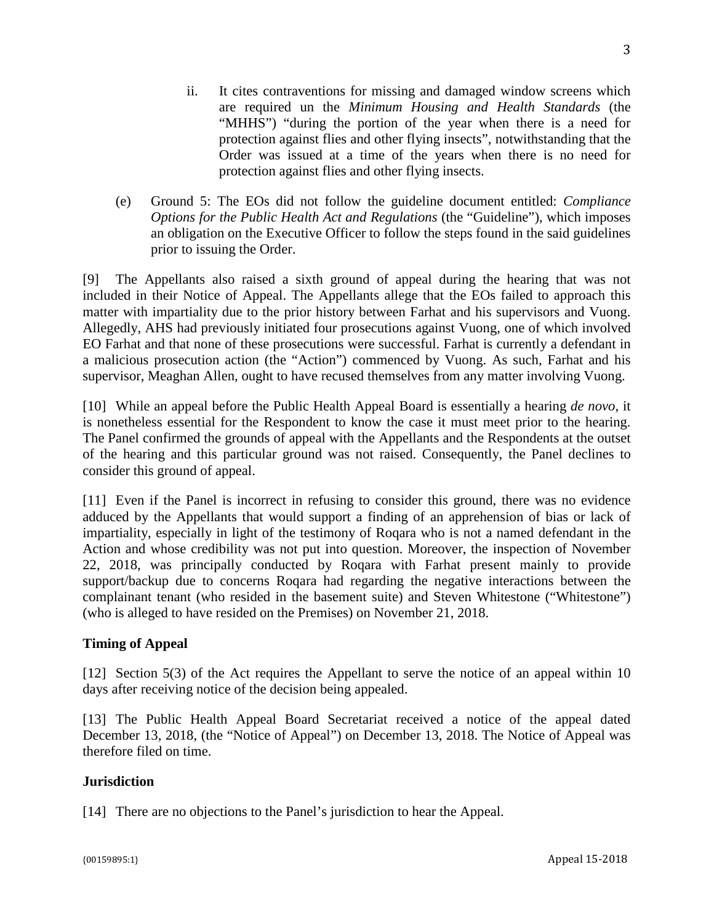- ii. It cites contraventions for missing and damaged window screens which are required un the *Minimum Housing and Health Standards* (the "MHHS") "during the portion of the year when there is a need for protection against flies and other flying insects", notwithstanding that the Order was issued at a time of the years when there is no need for protection against flies and other flying insects.
- (e) Ground 5: The EOs did not follow the guideline document entitled: *Compliance Options for the Public Health Act and Regulations* (the "Guideline"), which imposes an obligation on the Executive Officer to follow the steps found in the said guidelines prior to issuing the Order.

[9] The Appellants also raised a sixth ground of appeal during the hearing that was not included in their Notice of Appeal. The Appellants allege that the EOs failed to approach this matter with impartiality due to the prior history between Farhat and his supervisors and Vuong. Allegedly, AHS had previously initiated four prosecutions against Vuong, one of which involved EO Farhat and that none of these prosecutions were successful. Farhat is currently a defendant in a malicious prosecution action (the "Action") commenced by Vuong. As such, Farhat and his supervisor, Meaghan Allen, ought to have recused themselves from any matter involving Vuong.

[10] While an appeal before the Public Health Appeal Board is essentially a hearing *de novo*, it is nonetheless essential for the Respondent to know the case it must meet prior to the hearing. The Panel confirmed the grounds of appeal with the Appellants and the Respondents at the outset of the hearing and this particular ground was not raised. Consequently, the Panel declines to consider this ground of appeal.

[11] Even if the Panel is incorrect in refusing to consider this ground, there was no evidence adduced by the Appellants that would support a finding of an apprehension of bias or lack of impartiality, especially in light of the testimony of Roqara who is not a named defendant in the Action and whose credibility was not put into question. Moreover, the inspection of November 22, 2018, was principally conducted by Roqara with Farhat present mainly to provide support/backup due to concerns Roqara had regarding the negative interactions between the complainant tenant (who resided in the basement suite) and Steven Whitestone ("Whitestone") (who is alleged to have resided on the Premises) on November 21, 2018.

## **Timing of Appeal**

[12] Section 5(3) of the Act requires the Appellant to serve the notice of an appeal within 10 days after receiving notice of the decision being appealed.

[13] The Public Health Appeal Board Secretariat received a notice of the appeal dated December 13, 2018, (the "Notice of Appeal") on December 13, 2018. The Notice of Appeal was therefore filed on time.

### **Jurisdiction**

[14] There are no objections to the Panel's jurisdiction to hear the Appeal.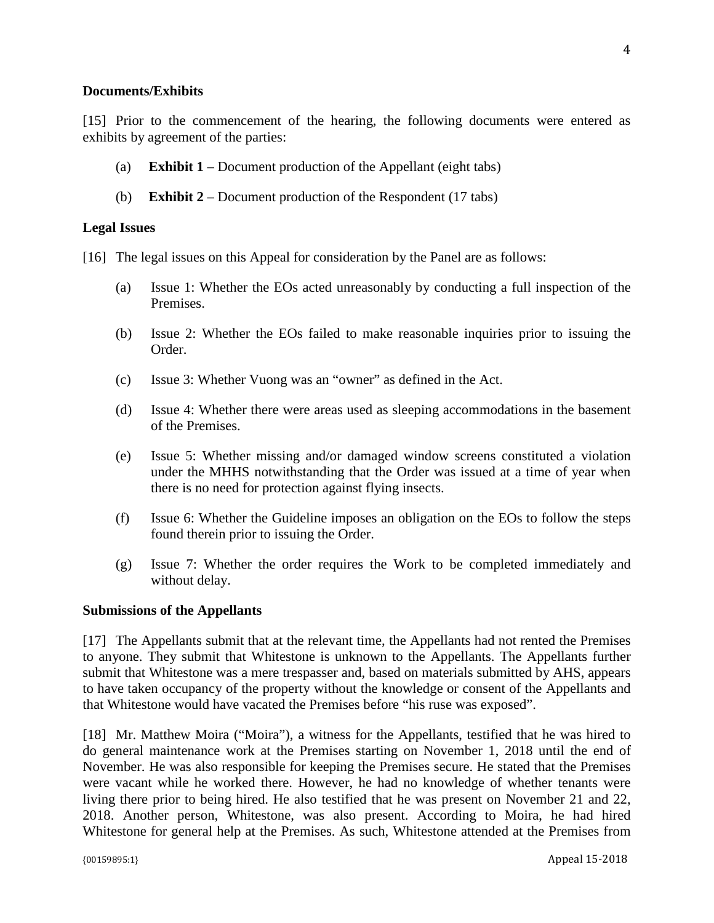#### **Documents/Exhibits**

[15] Prior to the commencement of the hearing, the following documents were entered as exhibits by agreement of the parties:

- (a) **Exhibit 1** Document production of the Appellant (eight tabs)
- (b) **Exhibit 2** Document production of the Respondent (17 tabs)

### **Legal Issues**

- [16] The legal issues on this Appeal for consideration by the Panel are as follows:
	- (a) Issue 1: Whether the EOs acted unreasonably by conducting a full inspection of the Premises.
	- (b) Issue 2: Whether the EOs failed to make reasonable inquiries prior to issuing the Order.
	- (c) Issue 3: Whether Vuong was an "owner" as defined in the Act.
	- (d) Issue 4: Whether there were areas used as sleeping accommodations in the basement of the Premises.
	- (e) Issue 5: Whether missing and/or damaged window screens constituted a violation under the MHHS notwithstanding that the Order was issued at a time of year when there is no need for protection against flying insects.
	- (f) Issue 6: Whether the Guideline imposes an obligation on the EOs to follow the steps found therein prior to issuing the Order.
	- (g) Issue 7: Whether the order requires the Work to be completed immediately and without delay.

#### **Submissions of the Appellants**

[17] The Appellants submit that at the relevant time, the Appellants had not rented the Premises to anyone. They submit that Whitestone is unknown to the Appellants. The Appellants further submit that Whitestone was a mere trespasser and, based on materials submitted by AHS, appears to have taken occupancy of the property without the knowledge or consent of the Appellants and that Whitestone would have vacated the Premises before "his ruse was exposed".

[18] Mr. Matthew Moira ("Moira"), a witness for the Appellants, testified that he was hired to do general maintenance work at the Premises starting on November 1, 2018 until the end of November. He was also responsible for keeping the Premises secure. He stated that the Premises were vacant while he worked there. However, he had no knowledge of whether tenants were living there prior to being hired. He also testified that he was present on November 21 and 22, 2018. Another person, Whitestone, was also present. According to Moira, he had hired Whitestone for general help at the Premises. As such, Whitestone attended at the Premises from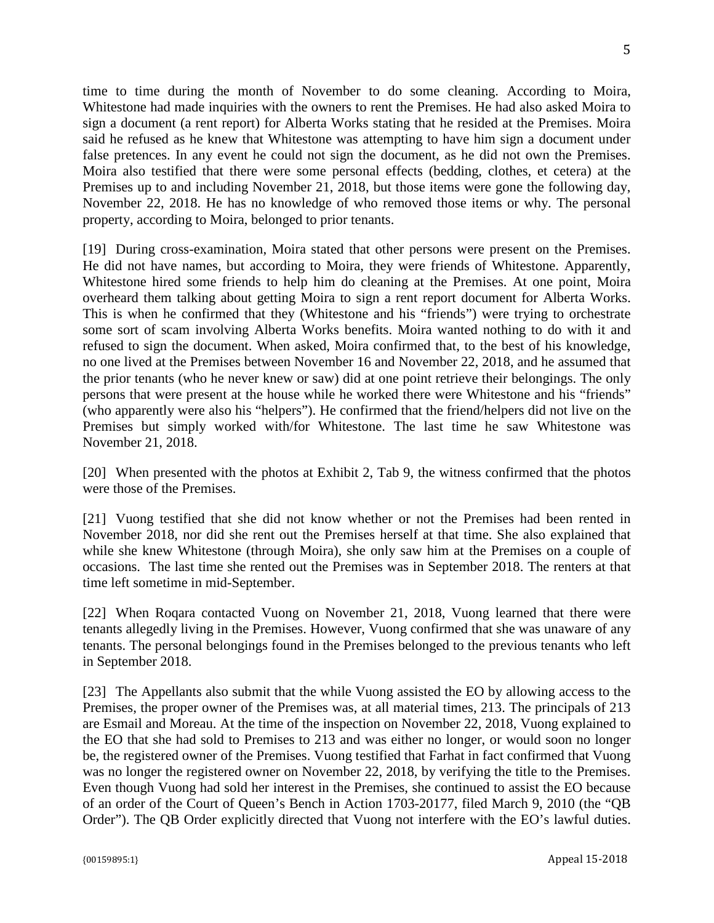time to time during the month of November to do some cleaning. According to Moira, Whitestone had made inquiries with the owners to rent the Premises. He had also asked Moira to sign a document (a rent report) for Alberta Works stating that he resided at the Premises. Moira said he refused as he knew that Whitestone was attempting to have him sign a document under false pretences. In any event he could not sign the document, as he did not own the Premises. Moira also testified that there were some personal effects (bedding, clothes, et cetera) at the Premises up to and including November 21, 2018, but those items were gone the following day, November 22, 2018. He has no knowledge of who removed those items or why. The personal property, according to Moira, belonged to prior tenants.

[19] During cross-examination, Moira stated that other persons were present on the Premises. He did not have names, but according to Moira, they were friends of Whitestone. Apparently, Whitestone hired some friends to help him do cleaning at the Premises. At one point, Moira overheard them talking about getting Moira to sign a rent report document for Alberta Works. This is when he confirmed that they (Whitestone and his "friends") were trying to orchestrate some sort of scam involving Alberta Works benefits. Moira wanted nothing to do with it and refused to sign the document. When asked, Moira confirmed that, to the best of his knowledge, no one lived at the Premises between November 16 and November 22, 2018, and he assumed that the prior tenants (who he never knew or saw) did at one point retrieve their belongings. The only persons that were present at the house while he worked there were Whitestone and his "friends" (who apparently were also his "helpers"). He confirmed that the friend/helpers did not live on the Premises but simply worked with/for Whitestone. The last time he saw Whitestone was November 21, 2018.

[20] When presented with the photos at Exhibit 2, Tab 9, the witness confirmed that the photos were those of the Premises.

[21] Vuong testified that she did not know whether or not the Premises had been rented in November 2018, nor did she rent out the Premises herself at that time. She also explained that while she knew Whitestone (through Moira), she only saw him at the Premises on a couple of occasions. The last time she rented out the Premises was in September 2018. The renters at that time left sometime in mid-September.

[22] When Roqara contacted Vuong on November 21, 2018, Vuong learned that there were tenants allegedly living in the Premises. However, Vuong confirmed that she was unaware of any tenants. The personal belongings found in the Premises belonged to the previous tenants who left in September 2018.

[23] The Appellants also submit that the while Vuong assisted the EO by allowing access to the Premises, the proper owner of the Premises was, at all material times, 213. The principals of 213 are Esmail and Moreau. At the time of the inspection on November 22, 2018, Vuong explained to the EO that she had sold to Premises to 213 and was either no longer, or would soon no longer be, the registered owner of the Premises. Vuong testified that Farhat in fact confirmed that Vuong was no longer the registered owner on November 22, 2018, by verifying the title to the Premises. Even though Vuong had sold her interest in the Premises, she continued to assist the EO because of an order of the Court of Queen's Bench in Action 1703-20177, filed March 9, 2010 (the "QB Order"). The QB Order explicitly directed that Vuong not interfere with the EO's lawful duties.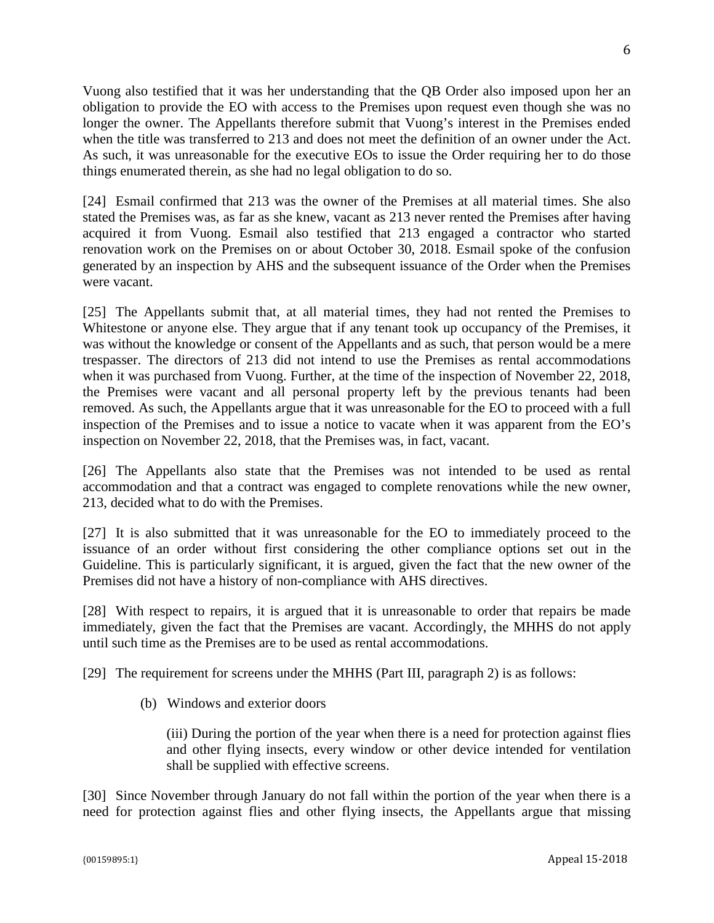Vuong also testified that it was her understanding that the QB Order also imposed upon her an obligation to provide the EO with access to the Premises upon request even though she was no longer the owner. The Appellants therefore submit that Vuong's interest in the Premises ended when the title was transferred to 213 and does not meet the definition of an owner under the Act. As such, it was unreasonable for the executive EOs to issue the Order requiring her to do those things enumerated therein, as she had no legal obligation to do so.

[24] Esmail confirmed that 213 was the owner of the Premises at all material times. She also stated the Premises was, as far as she knew, vacant as 213 never rented the Premises after having acquired it from Vuong. Esmail also testified that 213 engaged a contractor who started renovation work on the Premises on or about October 30, 2018. Esmail spoke of the confusion generated by an inspection by AHS and the subsequent issuance of the Order when the Premises were vacant.

[25] The Appellants submit that, at all material times, they had not rented the Premises to Whitestone or anyone else. They argue that if any tenant took up occupancy of the Premises, it was without the knowledge or consent of the Appellants and as such, that person would be a mere trespasser. The directors of 213 did not intend to use the Premises as rental accommodations when it was purchased from Vuong. Further, at the time of the inspection of November 22, 2018, the Premises were vacant and all personal property left by the previous tenants had been removed. As such, the Appellants argue that it was unreasonable for the EO to proceed with a full inspection of the Premises and to issue a notice to vacate when it was apparent from the EO's inspection on November 22, 2018, that the Premises was, in fact, vacant.

[26] The Appellants also state that the Premises was not intended to be used as rental accommodation and that a contract was engaged to complete renovations while the new owner, 213, decided what to do with the Premises.

[27] It is also submitted that it was unreasonable for the EO to immediately proceed to the issuance of an order without first considering the other compliance options set out in the Guideline. This is particularly significant, it is argued, given the fact that the new owner of the Premises did not have a history of non-compliance with AHS directives.

[28] With respect to repairs, it is argued that it is unreasonable to order that repairs be made immediately, given the fact that the Premises are vacant. Accordingly, the MHHS do not apply until such time as the Premises are to be used as rental accommodations.

[29] The requirement for screens under the MHHS (Part III, paragraph 2) is as follows:

(b) Windows and exterior doors

(iii) During the portion of the year when there is a need for protection against flies and other flying insects, every window or other device intended for ventilation shall be supplied with effective screens.

[30] Since November through January do not fall within the portion of the year when there is a need for protection against flies and other flying insects, the Appellants argue that missing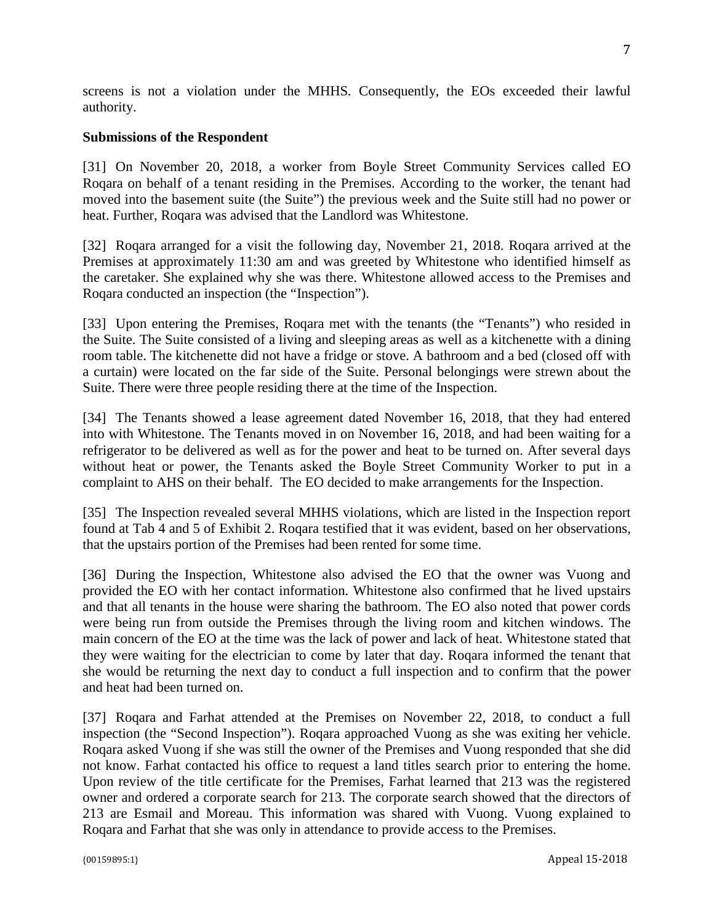screens is not a violation under the MHHS*.* Consequently, the EOs exceeded their lawful authority.

#### **Submissions of the Respondent**

[31] On November 20, 2018, a worker from Boyle Street Community Services called EO Roqara on behalf of a tenant residing in the Premises. According to the worker, the tenant had moved into the basement suite (the Suite") the previous week and the Suite still had no power or heat. Further, Roqara was advised that the Landlord was Whitestone.

[32] Roqara arranged for a visit the following day, November 21, 2018. Roqara arrived at the Premises at approximately 11:30 am and was greeted by Whitestone who identified himself as the caretaker. She explained why she was there. Whitestone allowed access to the Premises and Roqara conducted an inspection (the "Inspection").

[33] Upon entering the Premises, Roqara met with the tenants (the "Tenants") who resided in the Suite. The Suite consisted of a living and sleeping areas as well as a kitchenette with a dining room table. The kitchenette did not have a fridge or stove. A bathroom and a bed (closed off with a curtain) were located on the far side of the Suite. Personal belongings were strewn about the Suite. There were three people residing there at the time of the Inspection.

[34] The Tenants showed a lease agreement dated November 16, 2018, that they had entered into with Whitestone. The Tenants moved in on November 16, 2018, and had been waiting for a refrigerator to be delivered as well as for the power and heat to be turned on. After several days without heat or power, the Tenants asked the Boyle Street Community Worker to put in a complaint to AHS on their behalf. The EO decided to make arrangements for the Inspection.

[35] The Inspection revealed several MHHS violations, which are listed in the Inspection report found at Tab 4 and 5 of Exhibit 2. Roqara testified that it was evident, based on her observations, that the upstairs portion of the Premises had been rented for some time.

[36] During the Inspection, Whitestone also advised the EO that the owner was Vuong and provided the EO with her contact information. Whitestone also confirmed that he lived upstairs and that all tenants in the house were sharing the bathroom. The EO also noted that power cords were being run from outside the Premises through the living room and kitchen windows. The main concern of the EO at the time was the lack of power and lack of heat. Whitestone stated that they were waiting for the electrician to come by later that day. Roqara informed the tenant that she would be returning the next day to conduct a full inspection and to confirm that the power and heat had been turned on.

[37] Roqara and Farhat attended at the Premises on November 22, 2018, to conduct a full inspection (the "Second Inspection"). Roqara approached Vuong as she was exiting her vehicle. Roqara asked Vuong if she was still the owner of the Premises and Vuong responded that she did not know. Farhat contacted his office to request a land titles search prior to entering the home. Upon review of the title certificate for the Premises, Farhat learned that 213 was the registered owner and ordered a corporate search for 213. The corporate search showed that the directors of 213 are Esmail and Moreau. This information was shared with Vuong. Vuong explained to Roqara and Farhat that she was only in attendance to provide access to the Premises.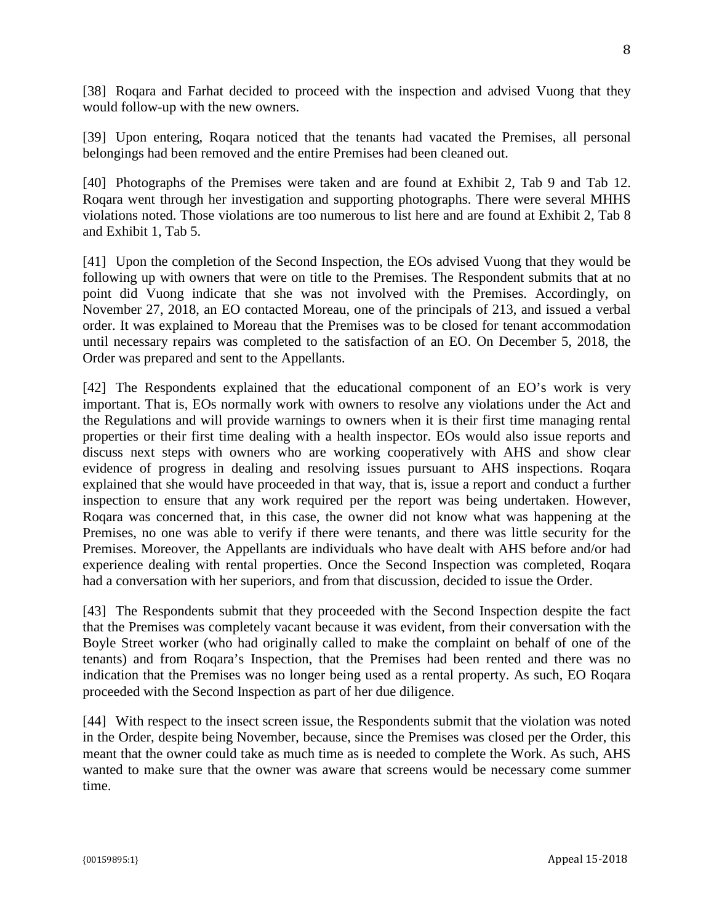[38] Roqara and Farhat decided to proceed with the inspection and advised Vuong that they would follow-up with the new owners.

[39] Upon entering, Roqara noticed that the tenants had vacated the Premises, all personal belongings had been removed and the entire Premises had been cleaned out.

[40] Photographs of the Premises were taken and are found at Exhibit 2, Tab 9 and Tab 12. Roqara went through her investigation and supporting photographs. There were several MHHS violations noted. Those violations are too numerous to list here and are found at Exhibit 2, Tab 8 and Exhibit 1, Tab 5.

[41] Upon the completion of the Second Inspection, the EOs advised Vuong that they would be following up with owners that were on title to the Premises. The Respondent submits that at no point did Vuong indicate that she was not involved with the Premises. Accordingly, on November 27, 2018, an EO contacted Moreau, one of the principals of 213, and issued a verbal order. It was explained to Moreau that the Premises was to be closed for tenant accommodation until necessary repairs was completed to the satisfaction of an EO. On December 5, 2018, the Order was prepared and sent to the Appellants.

[42] The Respondents explained that the educational component of an EO's work is very important. That is, EOs normally work with owners to resolve any violations under the Act and the Regulations and will provide warnings to owners when it is their first time managing rental properties or their first time dealing with a health inspector. EOs would also issue reports and discuss next steps with owners who are working cooperatively with AHS and show clear evidence of progress in dealing and resolving issues pursuant to AHS inspections. Roqara explained that she would have proceeded in that way, that is, issue a report and conduct a further inspection to ensure that any work required per the report was being undertaken. However, Roqara was concerned that, in this case, the owner did not know what was happening at the Premises, no one was able to verify if there were tenants, and there was little security for the Premises. Moreover, the Appellants are individuals who have dealt with AHS before and/or had experience dealing with rental properties. Once the Second Inspection was completed, Roqara had a conversation with her superiors, and from that discussion, decided to issue the Order.

[43] The Respondents submit that they proceeded with the Second Inspection despite the fact that the Premises was completely vacant because it was evident, from their conversation with the Boyle Street worker (who had originally called to make the complaint on behalf of one of the tenants) and from Roqara's Inspection, that the Premises had been rented and there was no indication that the Premises was no longer being used as a rental property. As such, EO Roqara proceeded with the Second Inspection as part of her due diligence.

[44] With respect to the insect screen issue, the Respondents submit that the violation was noted in the Order, despite being November, because, since the Premises was closed per the Order, this meant that the owner could take as much time as is needed to complete the Work. As such, AHS wanted to make sure that the owner was aware that screens would be necessary come summer time.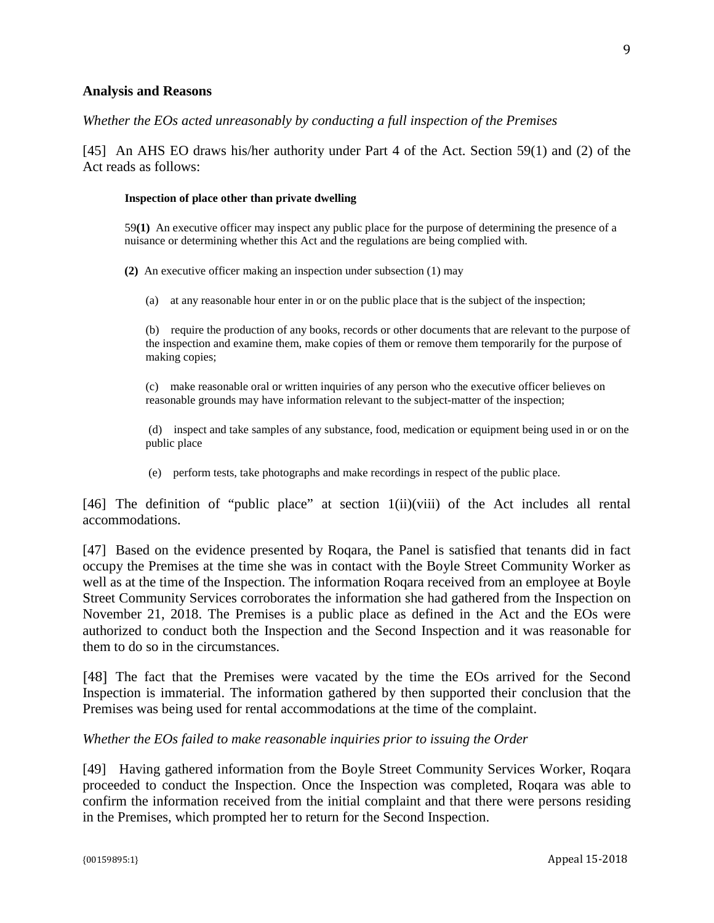#### **Analysis and Reasons**

#### *Whether the EOs acted unreasonably by conducting a full inspection of the Premises*

[45] An AHS EO draws his/her authority under Part 4 of the Act. Section 59(1) and (2) of the Act reads as follows:

#### **Inspection of place other than private dwelling**

59**(1)** An executive officer may inspect any public place for the purpose of determining the presence of a nuisance or determining whether this Act and the regulations are being complied with.

**(2)** An executive officer making an inspection under subsection (1) may

(a) at any reasonable hour enter in or on the public place that is the subject of the inspection;

(b) require the production of any books, records or other documents that are relevant to the purpose of the inspection and examine them, make copies of them or remove them temporarily for the purpose of making copies;

(c) make reasonable oral or written inquiries of any person who the executive officer believes on reasonable grounds may have information relevant to the subject-matter of the inspection;

(d) inspect and take samples of any substance, food, medication or equipment being used in or on the public place

(e) perform tests, take photographs and make recordings in respect of the public place.

[46] The definition of "public place" at section 1(ii)(viii) of the Act includes all rental accommodations.

[47] Based on the evidence presented by Roqara, the Panel is satisfied that tenants did in fact occupy the Premises at the time she was in contact with the Boyle Street Community Worker as well as at the time of the Inspection. The information Roqara received from an employee at Boyle Street Community Services corroborates the information she had gathered from the Inspection on November 21, 2018. The Premises is a public place as defined in the Act and the EOs were authorized to conduct both the Inspection and the Second Inspection and it was reasonable for them to do so in the circumstances.

[48] The fact that the Premises were vacated by the time the EOs arrived for the Second Inspection is immaterial. The information gathered by then supported their conclusion that the Premises was being used for rental accommodations at the time of the complaint.

#### *Whether the EOs failed to make reasonable inquiries prior to issuing the Order*

[49] Having gathered information from the Boyle Street Community Services Worker, Roqara proceeded to conduct the Inspection. Once the Inspection was completed, Roqara was able to confirm the information received from the initial complaint and that there were persons residing in the Premises, which prompted her to return for the Second Inspection.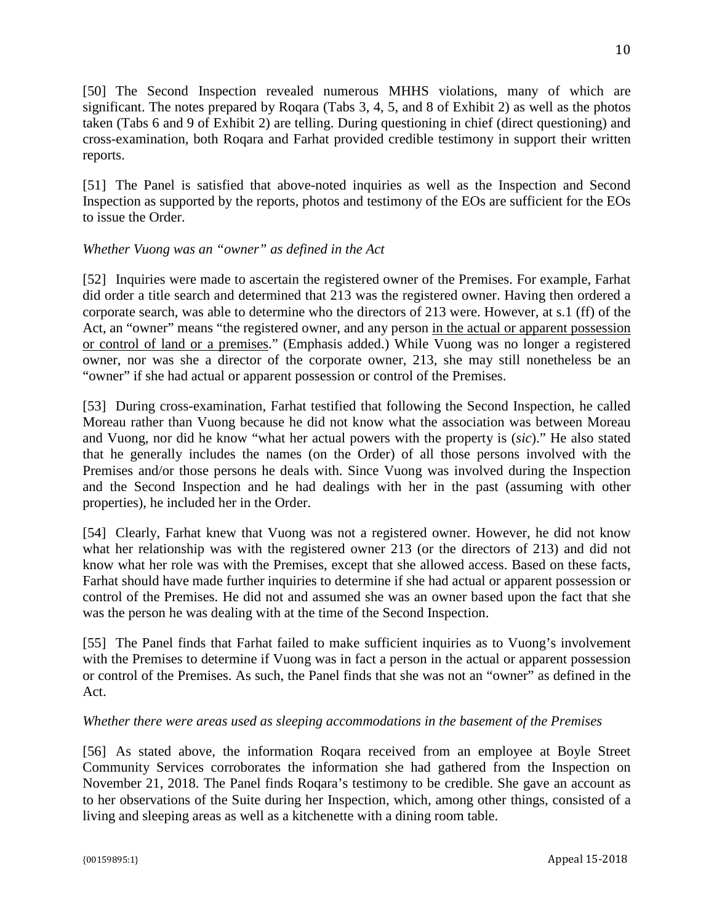[50] The Second Inspection revealed numerous MHHS violations, many of which are significant. The notes prepared by Roqara (Tabs 3, 4, 5, and 8 of Exhibit 2) as well as the photos taken (Tabs 6 and 9 of Exhibit 2) are telling. During questioning in chief (direct questioning) and cross-examination, both Roqara and Farhat provided credible testimony in support their written reports.

[51] The Panel is satisfied that above-noted inquiries as well as the Inspection and Second Inspection as supported by the reports, photos and testimony of the EOs are sufficient for the EOs to issue the Order.

## *Whether Vuong was an "owner" as defined in the Act*

[52] Inquiries were made to ascertain the registered owner of the Premises. For example, Farhat did order a title search and determined that 213 was the registered owner. Having then ordered a corporate search, was able to determine who the directors of 213 were. However, at s.1 (ff) of the Act, an "owner" means "the registered owner, and any person in the actual or apparent possession or control of land or a premises." (Emphasis added.) While Vuong was no longer a registered owner, nor was she a director of the corporate owner, 213, she may still nonetheless be an "owner" if she had actual or apparent possession or control of the Premises.

[53] During cross-examination, Farhat testified that following the Second Inspection, he called Moreau rather than Vuong because he did not know what the association was between Moreau and Vuong, nor did he know "what her actual powers with the property is (*sic*)." He also stated that he generally includes the names (on the Order) of all those persons involved with the Premises and/or those persons he deals with. Since Vuong was involved during the Inspection and the Second Inspection and he had dealings with her in the past (assuming with other properties), he included her in the Order.

[54] Clearly, Farhat knew that Vuong was not a registered owner. However, he did not know what her relationship was with the registered owner 213 (or the directors of 213) and did not know what her role was with the Premises, except that she allowed access. Based on these facts, Farhat should have made further inquiries to determine if she had actual or apparent possession or control of the Premises. He did not and assumed she was an owner based upon the fact that she was the person he was dealing with at the time of the Second Inspection.

[55] The Panel finds that Farhat failed to make sufficient inquiries as to Vuong's involvement with the Premises to determine if Vuong was in fact a person in the actual or apparent possession or control of the Premises. As such, the Panel finds that she was not an "owner" as defined in the Act.

## *Whether there were areas used as sleeping accommodations in the basement of the Premises*

[56] As stated above, the information Roqara received from an employee at Boyle Street Community Services corroborates the information she had gathered from the Inspection on November 21, 2018. The Panel finds Roqara's testimony to be credible. She gave an account as to her observations of the Suite during her Inspection, which, among other things, consisted of a living and sleeping areas as well as a kitchenette with a dining room table.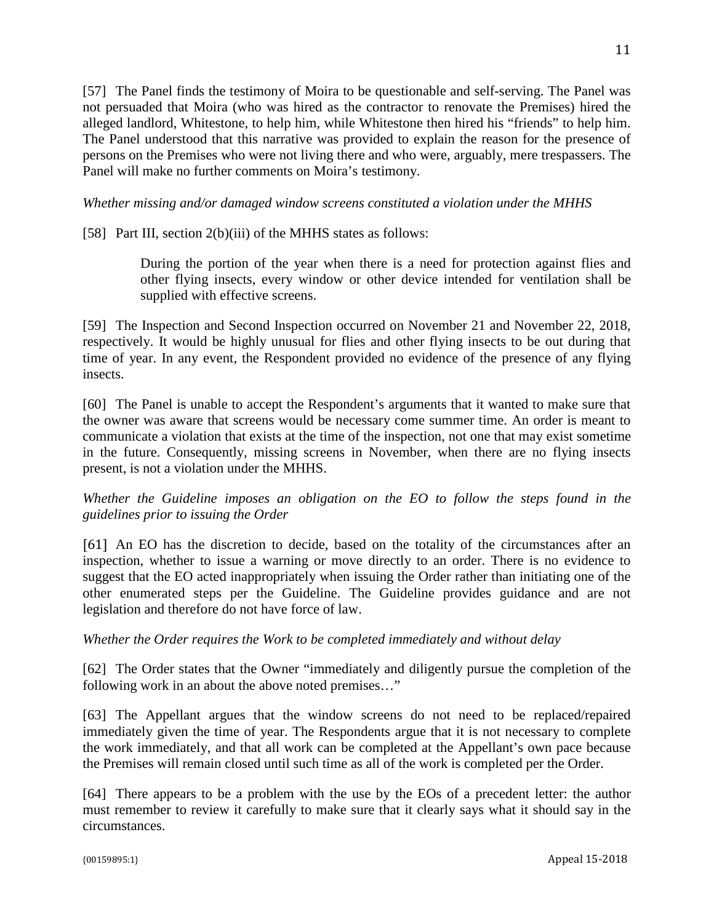[57] The Panel finds the testimony of Moira to be questionable and self-serving. The Panel was not persuaded that Moira (who was hired as the contractor to renovate the Premises) hired the alleged landlord, Whitestone, to help him, while Whitestone then hired his "friends" to help him. The Panel understood that this narrative was provided to explain the reason for the presence of persons on the Premises who were not living there and who were, arguably, mere trespassers. The Panel will make no further comments on Moira's testimony.

*Whether missing and/or damaged window screens constituted a violation under the MHHS*

[58] Part III, section 2(b)(iii) of the MHHS states as follows:

During the portion of the year when there is a need for protection against flies and other flying insects, every window or other device intended for ventilation shall be supplied with effective screens.

[59] The Inspection and Second Inspection occurred on November 21 and November 22, 2018, respectively. It would be highly unusual for flies and other flying insects to be out during that time of year. In any event, the Respondent provided no evidence of the presence of any flying insects.

[60] The Panel is unable to accept the Respondent's arguments that it wanted to make sure that the owner was aware that screens would be necessary come summer time. An order is meant to communicate a violation that exists at the time of the inspection, not one that may exist sometime in the future. Consequently, missing screens in November, when there are no flying insects present, is not a violation under the MHHS.

*Whether the Guideline imposes an obligation on the EO to follow the steps found in the guidelines prior to issuing the Order*

[61] An EO has the discretion to decide, based on the totality of the circumstances after an inspection, whether to issue a warning or move directly to an order. There is no evidence to suggest that the EO acted inappropriately when issuing the Order rather than initiating one of the other enumerated steps per the Guideline. The Guideline provides guidance and are not legislation and therefore do not have force of law.

## *Whether the Order requires the Work to be completed immediately and without delay*

[62] The Order states that the Owner "immediately and diligently pursue the completion of the following work in an about the above noted premises…"

[63] The Appellant argues that the window screens do not need to be replaced/repaired immediately given the time of year. The Respondents argue that it is not necessary to complete the work immediately, and that all work can be completed at the Appellant's own pace because the Premises will remain closed until such time as all of the work is completed per the Order.

[64] There appears to be a problem with the use by the EOs of a precedent letter: the author must remember to review it carefully to make sure that it clearly says what it should say in the circumstances.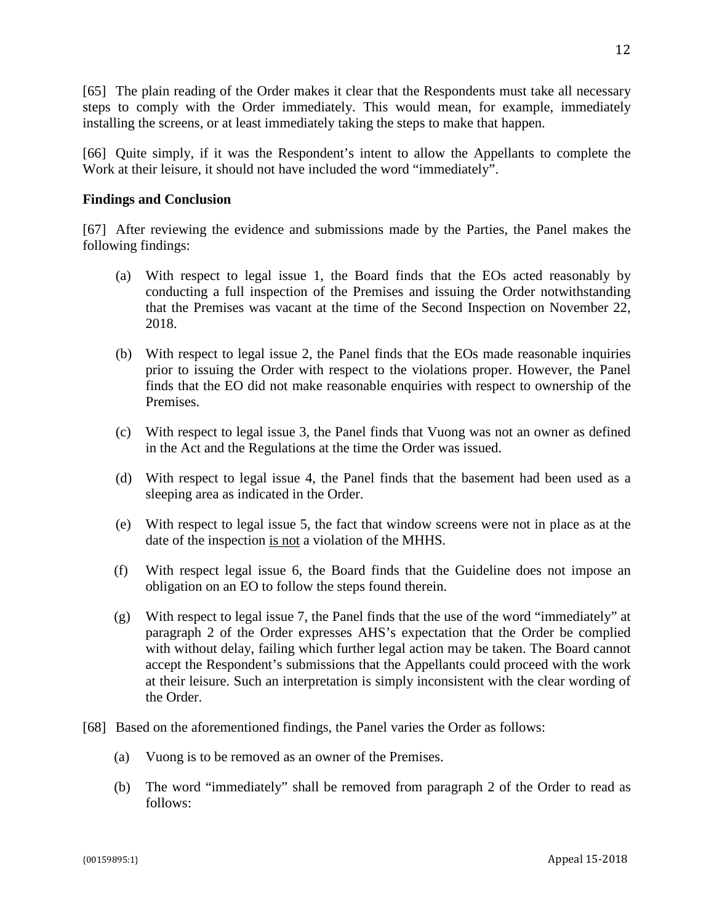[65] The plain reading of the Order makes it clear that the Respondents must take all necessary steps to comply with the Order immediately. This would mean, for example, immediately installing the screens, or at least immediately taking the steps to make that happen.

[66] Quite simply, if it was the Respondent's intent to allow the Appellants to complete the Work at their leisure, it should not have included the word "immediately".

### **Findings and Conclusion**

[67] After reviewing the evidence and submissions made by the Parties, the Panel makes the following findings:

- (a) With respect to legal issue 1, the Board finds that the EOs acted reasonably by conducting a full inspection of the Premises and issuing the Order notwithstanding that the Premises was vacant at the time of the Second Inspection on November 22, 2018.
- (b) With respect to legal issue 2, the Panel finds that the EOs made reasonable inquiries prior to issuing the Order with respect to the violations proper. However, the Panel finds that the EO did not make reasonable enquiries with respect to ownership of the Premises.
- (c) With respect to legal issue 3, the Panel finds that Vuong was not an owner as defined in the Act and the Regulations at the time the Order was issued.
- (d) With respect to legal issue 4, the Panel finds that the basement had been used as a sleeping area as indicated in the Order.
- (e) With respect to legal issue 5, the fact that window screens were not in place as at the date of the inspection is not a violation of the MHHS*.*
- (f) With respect legal issue 6, the Board finds that the Guideline does not impose an obligation on an EO to follow the steps found therein.
- $(g)$  With respect to legal issue 7, the Panel finds that the use of the word "immediately" at paragraph 2 of the Order expresses AHS's expectation that the Order be complied with without delay, failing which further legal action may be taken. The Board cannot accept the Respondent's submissions that the Appellants could proceed with the work at their leisure. Such an interpretation is simply inconsistent with the clear wording of the Order.
- [68] Based on the aforementioned findings, the Panel varies the Order as follows:
	- (a) Vuong is to be removed as an owner of the Premises.
	- (b) The word "immediately" shall be removed from paragraph 2 of the Order to read as follows: